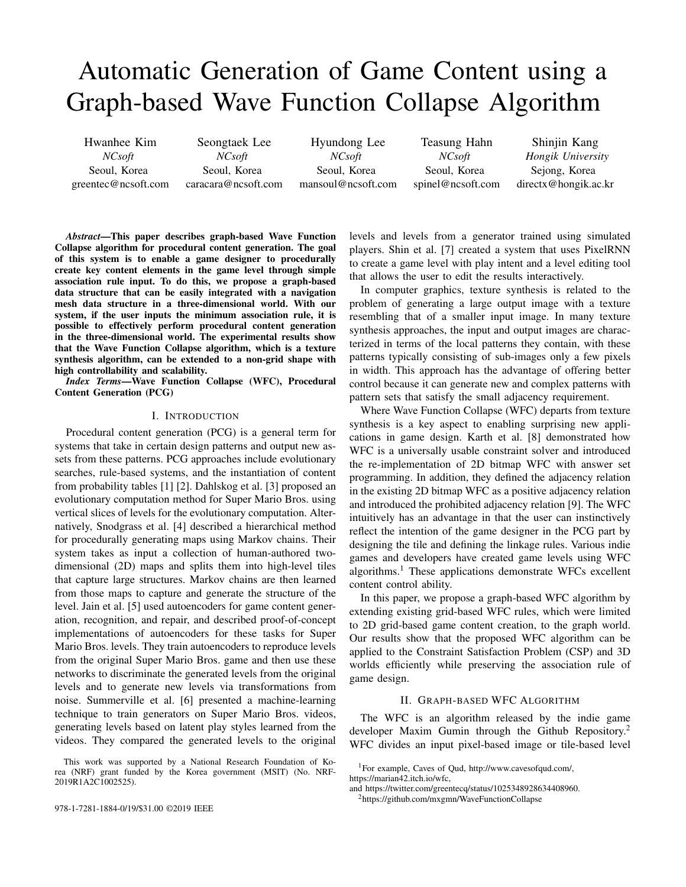# Automatic Generation of Game Content using a Graph-based Wave Function Collapse Algorithm

Hwanhee Kim *NCsoft* Seoul, Korea greentec@ncsoft.com

Seongtaek Lee *NCsoft* Seoul, Korea caracara@ncsoft.com

Hyundong Lee *NCsoft* Seoul, Korea mansoul@ncsoft.com

Teasung Hahn *NCsoft* Seoul, Korea spinel@ncsoft.com

Shinjin Kang *Hongik University* Sejong, Korea directx@hongik.ac.kr

*Abstract*—This paper describes graph-based Wave Function Collapse algorithm for procedural content generation. The goal of this system is to enable a game designer to procedurally create key content elements in the game level through simple association rule input. To do this, we propose a graph-based data structure that can be easily integrated with a navigation mesh data structure in a three-dimensional world. With our system, if the user inputs the minimum association rule, it is possible to effectively perform procedural content generation in the three-dimensional world. The experimental results show that the Wave Function Collapse algorithm, which is a texture synthesis algorithm, can be extended to a non-grid shape with high controllability and scalability.

*Index Terms*—Wave Function Collapse (WFC), Procedural Content Generation (PCG)

#### I. INTRODUCTION

Procedural content generation (PCG) is a general term for systems that take in certain design patterns and output new assets from these patterns. PCG approaches include evolutionary searches, rule-based systems, and the instantiation of content from probability tables [1] [2]. Dahlskog et al. [3] proposed an evolutionary computation method for Super Mario Bros. using vertical slices of levels for the evolutionary computation. Alternatively, Snodgrass et al. [4] described a hierarchical method for procedurally generating maps using Markov chains. Their system takes as input a collection of human-authored twodimensional (2D) maps and splits them into high-level tiles that capture large structures. Markov chains are then learned from those maps to capture and generate the structure of the level. Jain et al. [5] used autoencoders for game content generation, recognition, and repair, and described proof-of-concept implementations of autoencoders for these tasks for Super Mario Bros. levels. They train autoencoders to reproduce levels from the original Super Mario Bros. game and then use these networks to discriminate the generated levels from the original levels and to generate new levels via transformations from noise. Summerville et al. [6] presented a machine-learning technique to train generators on Super Mario Bros. videos, generating levels based on latent play styles learned from the videos. They compared the generated levels to the original

This work was supported by a National Research Foundation of Korea (NRF) grant funded by the Korea government (MSIT) (No. NRF-2019R1A2C1002525).

978-1-7281-1884-0/19/\$31.00 ©2019 IEEE

levels and levels from a generator trained using simulated players. Shin et al. [7] created a system that uses PixelRNN to create a game level with play intent and a level editing tool that allows the user to edit the results interactively.

In computer graphics, texture synthesis is related to the problem of generating a large output image with a texture resembling that of a smaller input image. In many texture synthesis approaches, the input and output images are characterized in terms of the local patterns they contain, with these patterns typically consisting of sub-images only a few pixels in width. This approach has the advantage of offering better control because it can generate new and complex patterns with pattern sets that satisfy the small adjacency requirement.

Where Wave Function Collapse (WFC) departs from texture synthesis is a key aspect to enabling surprising new applications in game design. Karth et al. [8] demonstrated how WFC is a universally usable constraint solver and introduced the re-implementation of 2D bitmap WFC with answer set programming. In addition, they defined the adjacency relation in the existing 2D bitmap WFC as a positive adjacency relation and introduced the prohibited adjacency relation [9]. The WFC intuitively has an advantage in that the user can instinctively reflect the intention of the game designer in the PCG part by designing the tile and defining the linkage rules. Various indie games and developers have created game levels using WFC algorithms.<sup>1</sup> These applications demonstrate WFCs excellent content control ability.

In this paper, we propose a graph-based WFC algorithm by extending existing grid-based WFC rules, which were limited to 2D grid-based game content creation, to the graph world. Our results show that the proposed WFC algorithm can be applied to the Constraint Satisfaction Problem (CSP) and 3D worlds efficiently while preserving the association rule of game design.

## II. GRAPH-BASED WFC ALGORITHM

The WFC is an algorithm released by the indie game developer Maxim Gumin through the Github Repository.<sup>2</sup> WFC divides an input pixel-based image or tile-based level

<sup>2</sup>https://github.com/mxgmn/WaveFunctionCollapse

<sup>1</sup>For example, Caves of Qud, http://www.cavesofqud.com/, https://marian42.itch.io/wfc,

and https://twitter.com/greentecq/status/1025348928634408960.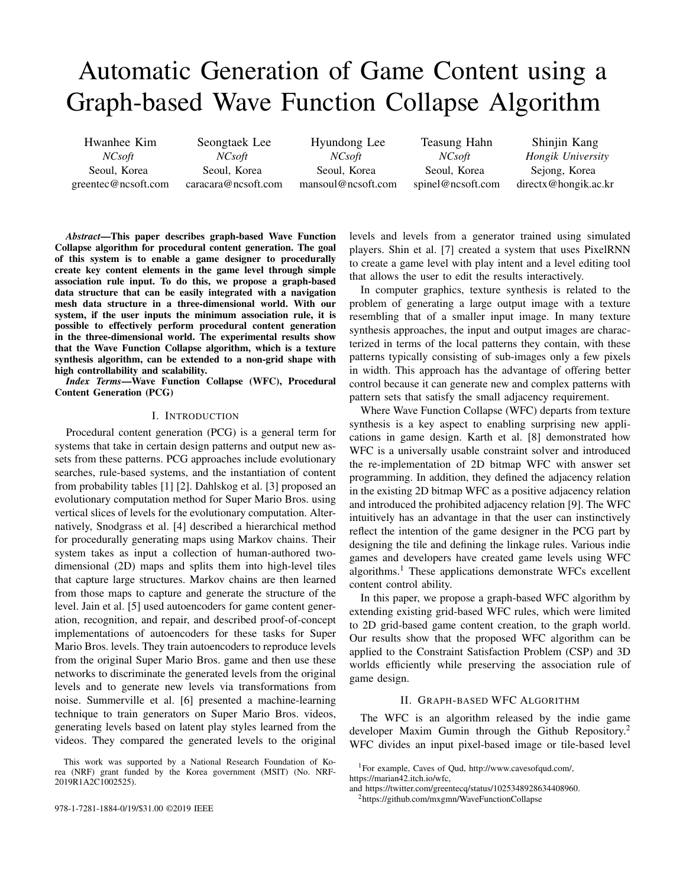

Fig. 1. Overview of the WFC algorithm process

into small chunks  $(1 \t 1, 2 \t 2 \t or larger)$  and rearranges them to create new levels. The newly generated level consists of overlapped or non-overlapped chunks. Figure 1 shows an overview of the WFC algorithm process. In this paper, we aim to extend the grid-based WFC algorithm to a graph-based type for application to unstructured data, such as a navigation mesh. The state space of the previous WFC is a regular grid, and each node constituting the grid has an equal number of neighbors. In contrast, the state space of a graph-based WFC has an unlimited and variable number of neighbors. Hence, we modified the propagation, compatibility, and backtracking processes in the original WFC algorithm. Figure 2 shows the main loop of the original WFC and graph-based WFC. The gray box highlights the difference between the two. For comprehensive details of the WFC algorithm, we refer the reader to [8].



Fig. 2. Main loop of the original WFC (left) and graph-based WFC (right)

#### *A. Handling input data*

Both WFC and graph-based WFC receive input data and produce output. The input can be in the form of an image or text. It is assumed that the chunks attached to each other in the image are connected. The non-redundant set of chunks is called the tile, and it becomes the default unit of placement for the WFC. When the input is in text form, we need to define tile information in the same format as a JSON file. Graph-based WFC uses only text-type input. This is because a typical graph structure has a link that cannot specify a direction, unlike an image.

## *B. Graph and grid structure*

A grid is a graph in which the number of neighbors of all nodes are the same. In other words, a graph is superset of a grid. In the regular rectangular grid, Sudoku game grid, and Voronoi non-grid<sup>3</sup> shown in Figure 3, the neighbors for an arbitrary cell are visualized. The number of neighbors of a regular rectangular grid is constant at four. The number of the Sudoku game grid's neighbors is fixed to 20, which includes 3 3 small grids within each cell, horizontal line, and vertical line. In contrast, the number of Voronoi non-grid neighbors is unlimited and variable. All of the above structures are applicable to graph-based WFC.



Fig. 3. Neighbors for arbitrary cells from a regular rectangular grid, Sudoku game grid, and Voronoi non-grid. The neighbors of the Sudoku game grid are determined by the game rules, and the neighbors of the regular rectangular grid and the Voronoi non-grid are determined by the adjacency of the edges. Yellow = neighbor cell.

## *C. Adjacency rule assignment*

Figure 4 shows the graph-based adjacency rules used here and the corresponding WFC application results. The target

<sup>3</sup>A non-grid is the opposite of a grid. The number of neighbors of all nodes does not need to be equal.